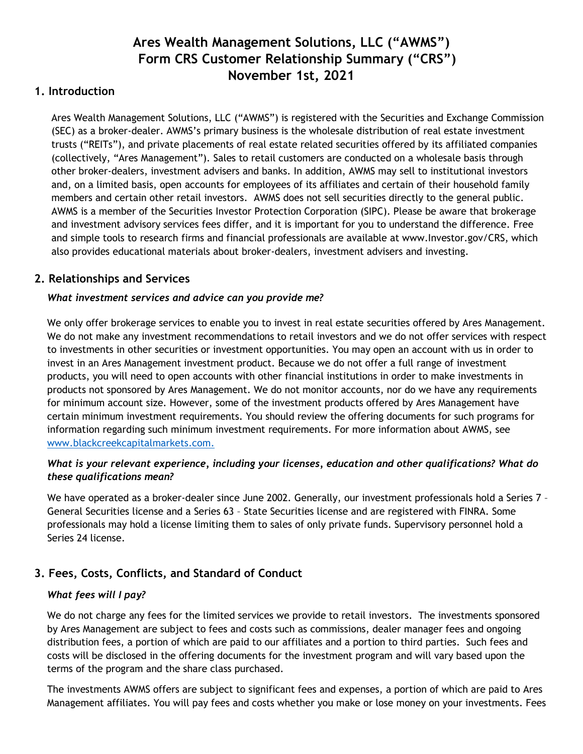# **Ares Wealth Management Solutions, LLC ("AWMS") Form CRS Customer Relationship Summary ("CRS") November 1st, 2021**

## **1. Introduction**

Ares Wealth Management Solutions, LLC ("AWMS") is registered with the Securities and Exchange Commission (SEC) as a broker-dealer. AWMS's primary business is the wholesale distribution of real estate investment trusts ("REITs"), and private placements of real estate related securities offered by its affiliated companies (collectively, "Ares Management"). Sales to retail customers are conducted on a wholesale basis through other broker-dealers, investment advisers and banks. In addition, AWMS may sell to institutional investors and, on a limited basis, open accounts for employees of its affiliates and certain of their household family members and certain other retail investors. AWMS does not sell securities directly to the general public. AWMS is a member of the Securities Investor Protection Corporation (SIPC). Please be aware that brokerage and investment advisory services fees differ, and it is important for you to understand the difference. Free and simple tools to research firms and financial professionals are available at www.Investor.gov/CRS, which also provides educational materials about broker-dealers, investment advisers and investing.

# **2. Relationships and Services**

# *What investment services and advice can you provide me?*

We only offer brokerage services to enable you to invest in real estate securities offered by Ares Management. We do not make any investment recommendations to retail investors and we do not offer services with respect to investments in other securities or investment opportunities. You may open an account with us in order to invest in an Ares Management investment product. Because we do not offer a full range of investment products, you will need to open accounts with other financial institutions in order to make investments in products not sponsored by Ares Management. We do not monitor accounts, nor do we have any requirements for minimum account size. However, some of the investment products offered by Ares Management have certain minimum investment requirements. You should review the offering documents for such programs for information regarding such minimum investment requirements. For more information about AWMS, see [www.blackcreekcapitalmarkets.com.](http://www.blackcreekcapitalmarkets.com/)

### *What is your relevant experience, including your licenses, education and other qualifications? What do these qualifications mean?*

We have operated as a broker-dealer since June 2002. Generally, our investment professionals hold a Series 7 -General Securities license and a Series 63 – State Securities license and are registered with FINRA. Some professionals may hold a license limiting them to sales of only private funds. Supervisory personnel hold a Series 24 license.

# **3. Fees, Costs, Conflicts, and Standard of Conduct**

### *What fees will I pay?*

We do not charge any fees for the limited services we provide to retail investors. The investments sponsored by Ares Management are subject to fees and costs such as commissions, dealer manager fees and ongoing distribution fees, a portion of which are paid to our affiliates and a portion to third parties. Such fees and costs will be disclosed in the offering documents for the investment program and will vary based upon the terms of the program and the share class purchased.

The investments AWMS offers are subject to significant fees and expenses, a portion of which are paid to Ares Management affiliates. You will pay fees and costs whether you make or lose money on your investments. Fees